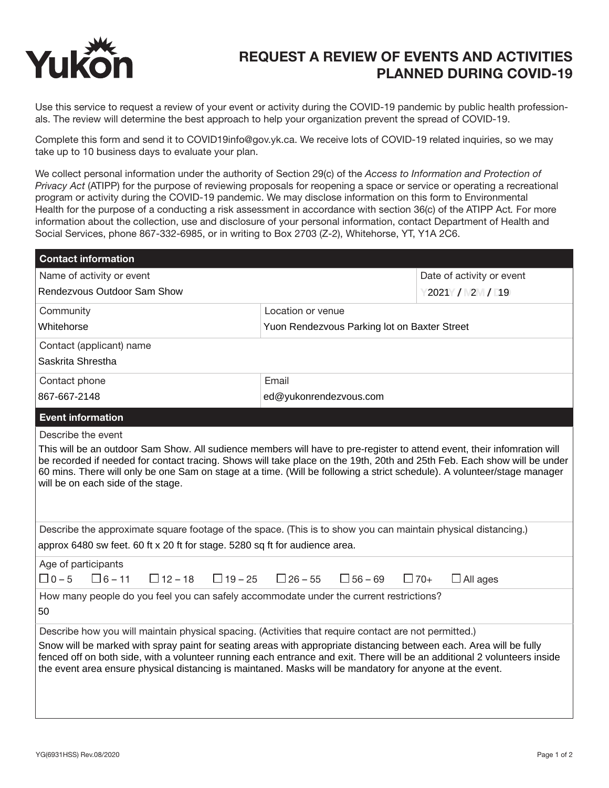

## REQUEST A REVIEW OF EVENTS AND ACTIVITIES PLANNED DURING COVID-19

Use this service to request a review of your event or activity during the COVID-19 pandemic by public health professionals. The review will determine the best approach to help your organization prevent the spread of COVID-19.

Complete this form and send it to COVID19info@gov.yk.ca. We receive lots of COVID-19 related inquiries, so we may take up to 10 business days to evaluate your plan.

We collect personal information under the authority of Section 29(c) of the *Access to Information and Protection of Privacy Act* (ATIPP) for the purpose of reviewing proposals for reopening a space or service or operating a recreational program or activity during the COVID-19 pandemic. We may disclose information on this form to Environmental Health for the purpose of a conducting a risk assessment in accordance with section 36(c) of the ATIPP Act*.* For more information about the collection, use and disclosure of your personal information, contact Department of Health and Social Services, phone 867-332-6985, or in writing to Box 2703 (Z-2), Whitehorse, YT, Y1A 2C6.

| <b>Contact information</b>                                                                                                                                                                                                                                                                                                                                                                                                                                            |                                              |                               |
|-----------------------------------------------------------------------------------------------------------------------------------------------------------------------------------------------------------------------------------------------------------------------------------------------------------------------------------------------------------------------------------------------------------------------------------------------------------------------|----------------------------------------------|-------------------------------|
| Name of activity or event                                                                                                                                                                                                                                                                                                                                                                                                                                             |                                              | Date of activity or event     |
| Rendezvous Outdoor Sam Show                                                                                                                                                                                                                                                                                                                                                                                                                                           |                                              | 2021 / 2 / 19                 |
| Community                                                                                                                                                                                                                                                                                                                                                                                                                                                             | Location or venue                            |                               |
| Whitehorse                                                                                                                                                                                                                                                                                                                                                                                                                                                            | Yuon Rendezvous Parking lot on Baxter Street |                               |
| Contact (applicant) name                                                                                                                                                                                                                                                                                                                                                                                                                                              |                                              |                               |
| Saskrita Shrestha                                                                                                                                                                                                                                                                                                                                                                                                                                                     |                                              |                               |
| Contact phone                                                                                                                                                                                                                                                                                                                                                                                                                                                         | Email                                        |                               |
| 867-667-2148                                                                                                                                                                                                                                                                                                                                                                                                                                                          | ed@yukonrendezvous.com                       |                               |
| <b>Event information</b>                                                                                                                                                                                                                                                                                                                                                                                                                                              |                                              |                               |
| Describe the event                                                                                                                                                                                                                                                                                                                                                                                                                                                    |                                              |                               |
| be recorded if needed for contact tracing. Shows will take place on the 19th, 20th and 25th Feb. Each show will be under<br>60 mins. There will only be one Sam on stage at a time. (Will be following a strict schedule). A volunteer/stage manager<br>will be on each side of the stage.                                                                                                                                                                            |                                              |                               |
| Describe the approximate square footage of the space. (This is to show you can maintain physical distancing.)<br>approx 6480 sw feet. 60 ft x 20 ft for stage. 5280 sq ft for audience area.                                                                                                                                                                                                                                                                          |                                              |                               |
| Age of participants<br>$\Box$ 0 – 5<br>$\Box$ 6 – 11<br>$\Box$ 12 – 18<br>$\Box$ 19 – 25                                                                                                                                                                                                                                                                                                                                                                              | $\Box$ 26 – 55<br>$\Box$ 56 – 69             | $\Box$ 70+<br>$\Box$ All ages |
| How many people do you feel you can safely accommodate under the current restrictions?<br>50                                                                                                                                                                                                                                                                                                                                                                          |                                              |                               |
| Describe how you will maintain physical spacing. (Activities that require contact are not permitted.)<br>Snow will be marked with spray paint for seating areas with appropriate distancing between each. Area will be fully<br>fenced off on both side, with a volunteer running each entrance and exit. There will be an additional 2 volunteers inside<br>the event area ensure physical distancing is maintaned. Masks will be mandatory for anyone at the event. |                                              |                               |